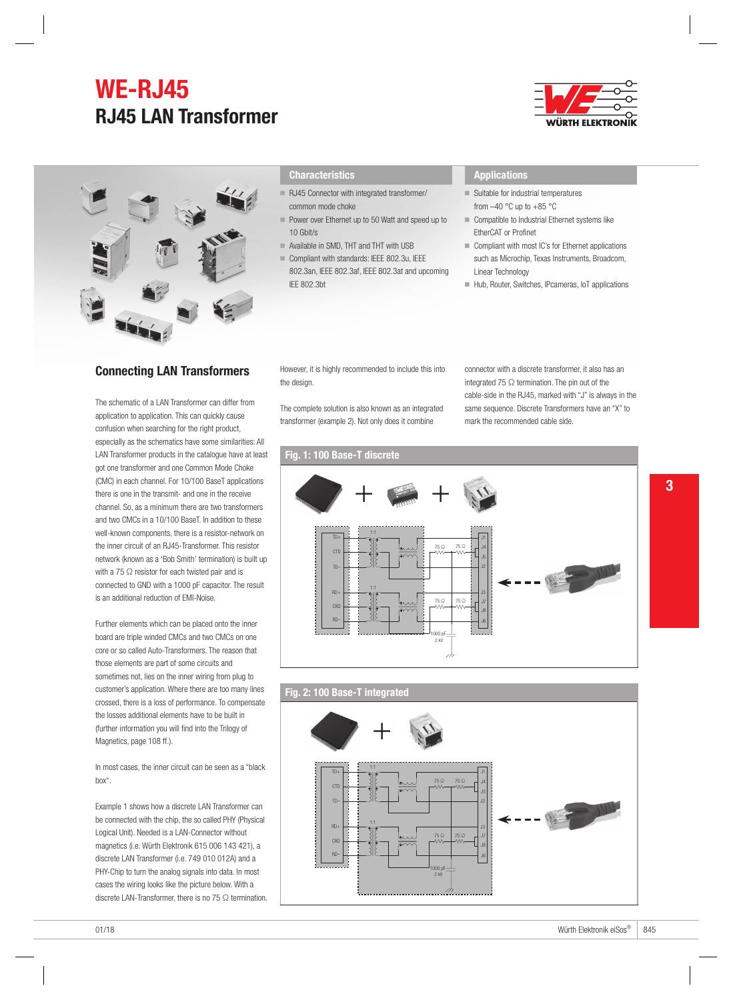# **WE-RJ45 RJ45 LAN Transformer**



### **Characteristics**

- RJ45 Connector with integrated transformer/ common mode choke
- Power over Ethernet up to 50 Watt and speed up to 10 Gbit/s
- **77 Available in SMD, THT and THT with USB**
- 77 Compliant with standards: IEEE 802.3u, IEEE 802.3an, IEEE 802.3af, IEEE 802.3at and upcoming IEE 802.3bt

### **Applications**

- $\blacksquare$  Suitable for industrial temperatures from  $-40$  °C up to  $+85$  °C
- $\blacksquare$  Compatible to Industrial Ethernet systems like EtherCAT or Profinet
- Compliant with most IC's for Ethernet applications such as Microchip, Texas Instruments, Broadcom, Linear Technology
- Hub, Router, Switches, IPcameras, IoT applications

# Connecting LAN Transformers

The schematic of a LAN Transformer can differ from application to application. This can quickly cause confusion when searching for the right product, especially as the schematics have some similarities: All LAN Transformer products in the catalogue have at least got one transformer and one Common Mode Choke (CMC) in each channel. For 10/100 BaseT applications there is one in the transmit- and one in the receive channel. So, as a minimum there are two transformers and two CMCs in a 10/100 BaseT. In addition to these well-known components, there is a resistor-network on the inner circuit of an RJ45-Transformer. This resistor network (known as a 'Bob Smith' termination) is built up with a 75 ○ resistor for each twisted pair and is connected to GND with a 1000 pF capacitor. The result is an additional reduction of EMI-Noise.

Further elements which can be placed onto the inner board are triple winded CMCs and two CMCs on one core or so called Auto-Transformers. The reason that those elements are part of some circuits and sometimes not, lies on the inner wiring from plug to customer's application. Where there are too many lines crossed, there is a loss of performance. To compensate the losses additional elements have to be built in (further information you will find into the Trilogy of Magnetics, page 108 ff.).

In most cases, the inner circuit can be seen as a "black box".

Example 1 shows how a discrete LAN Transformer can be connected with the chip, the so called PHY (Physical Logical Unit). Needed is a LAN-Connector without magnetics (i.e. Würth Elektronik 615 006 143 421), a discrete LAN Transformer (i.e. 749 010 012A) and a PHY-Chip to turn the analog signals into data. In most cases the wiring looks like the picture below. With a discrete LAN-Transformer, there is no 75 Ω termination. However, it is highly recommended to include this into the design.

The complete solution is also known as an integrated transformer (example 2). Not only does it combine

connector with a discrete transformer, it also has an integrated 75  $\Omega$  termination. The pin out of the cable-side in the RJ45, marked with "J" is always in the same sequence. Discrete Transformers have an "X" to mark the recommended cable side.

## Fig. 1: 100 Base-T discrete



#### Fig. 2: 100 Base-T integrated